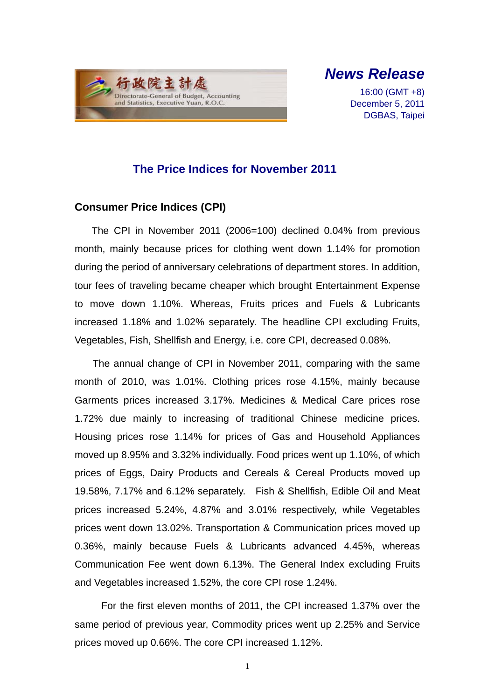

*News Release* 

16:00 (GMT +8) December 5, 2011 DGBAS, Taipei

## **The Price Indices for November 2011**

### **Consumer Price Indices (CPI)**

The CPI in November 2011 (2006=100) declined 0.04% from previous month, mainly because prices for clothing went down 1.14% for promotion during the period of anniversary celebrations of department stores. In addition, tour fees of traveling became cheaper which brought Entertainment Expense to move down 1.10%. Whereas, Fruits prices and Fuels & Lubricants increased 1.18% and 1.02% separately. The headline CPI excluding Fruits, Vegetables, Fish, Shellfish and Energy, i.e. core CPI, decreased 0.08%.

The annual change of CPI in November 2011, comparing with the same month of 2010, was 1.01%. Clothing prices rose 4.15%, mainly because Garments prices increased 3.17%. Medicines & Medical Care prices rose 1.72% due mainly to increasing of traditional Chinese medicine prices. Housing prices rose 1.14% for prices of Gas and Household Appliances moved up 8.95% and 3.32% individually. Food prices went up 1.10%, of which prices of Eggs, Dairy Products and Cereals & Cereal Products moved up 19.58%, 7.17% and 6.12% separately. Fish & Shellfish, Edible Oil and Meat prices increased 5.24%, 4.87% and 3.01% respectively, while Vegetables prices went down 13.02%. Transportation & Communication prices moved up 0.36%, mainly because Fuels & Lubricants advanced 4.45%, whereas Communication Fee went down 6.13%. The General Index excluding Fruits and Vegetables increased 1.52%, the core CPI rose 1.24%.

For the first eleven months of 2011, the CPI increased 1.37% over the same period of previous year, Commodity prices went up 2.25% and Service prices moved up 0.66%. The core CPI increased 1.12%.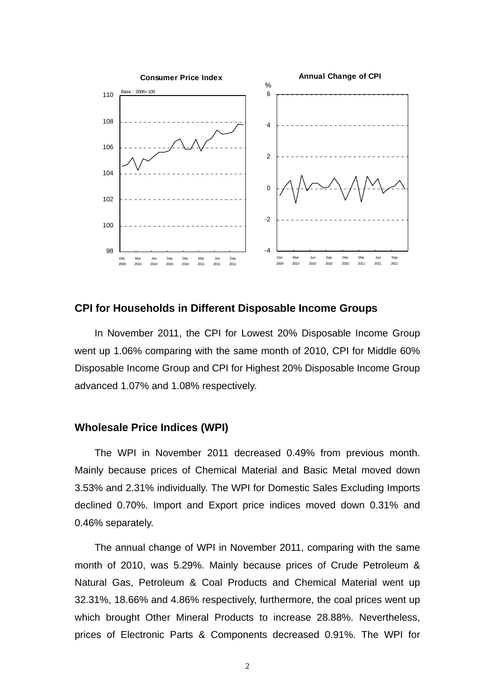

#### **CPI for Households in Different Disposable Income Groups**

In November 2011, the CPI for Lowest 20% Disposable Income Group went up 1.06% comparing with the same month of 2010, CPI for Middle 60% Disposable Income Group and CPI for Highest 20% Disposable Income Group advanced 1.07% and 1.08% respectively.

#### **Wholesale Price Indices (WPI)**

The WPI in November 2011 decreased 0.49% from previous month. Mainly because prices of Chemical Material and Basic Metal moved down 3.53% and 2.31% individually. The WPI for Domestic Sales Excluding Imports declined 0.70%. Import and Export price indices moved down 0.31% and 0.46% separately.

The annual change of WPI in November 2011, comparing with the same month of 2010, was 5.29%. Mainly because prices of Crude Petroleum & Natural Gas, Petroleum & Coal Products and Chemical Material went up 32.31%, 18.66% and 4.86% respectively, furthermore, the coal prices went up which brought Other Mineral Products to increase 28.88%. Nevertheless, prices of Electronic Parts & Components decreased 0.91%. The WPI for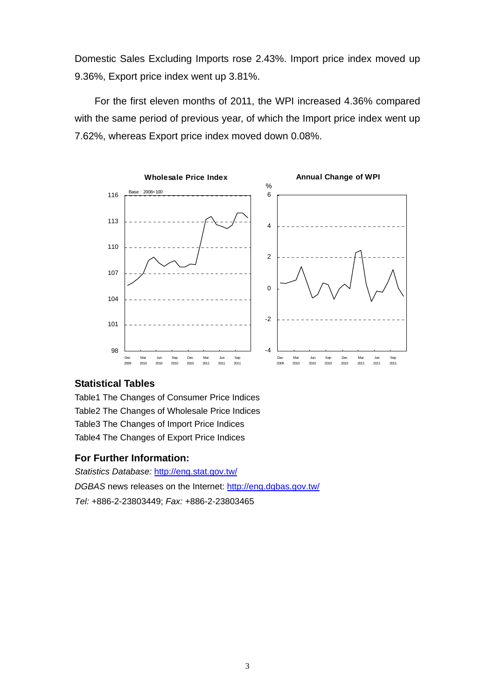Domestic Sales Excluding Imports rose 2.43%. Import price index moved up 9.36%, Export price index went up 3.81%.

For the first eleven months of 2011, the WPI increased 4.36% compared with the same period of previous year, of which the Import price index went up 7.62%, whereas Export price index moved down 0.08%.



### **Statistical Tables**

Table1 The Changes of Consumer Price Indices Table2 The Changes of Wholesale Price Indices Table3 The Changes of Import Price Indices Table4 The Changes of Export Price Indices

#### **For Further Information:**

*Statistics Database:* http://eng.stat.gov.tw/ *DGBAS* news releases on the Internet: http://eng.dgbas.gov.tw/ *Tel:* +886-2-23803449; *Fax:* +886-2-23803465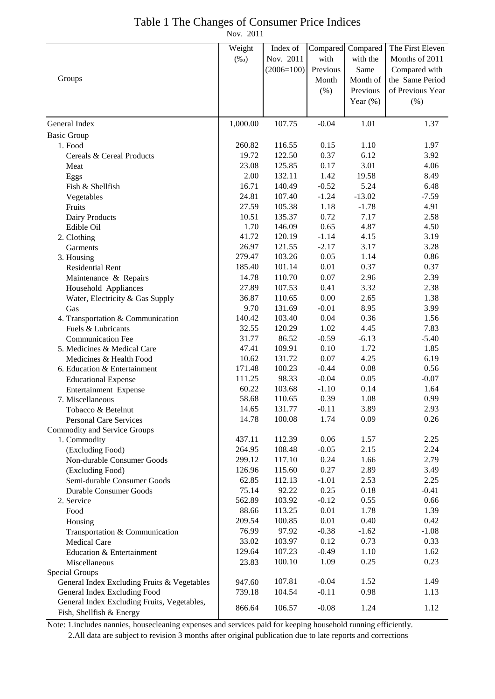## Table 1 The Changes of Consumer Price Indices

Nov. 2011

|                                                                         | Weight   | Index of     |          | Compared Compared | The First Eleven |
|-------------------------------------------------------------------------|----------|--------------|----------|-------------------|------------------|
|                                                                         |          | Nov. 2011    |          |                   |                  |
|                                                                         | $(\%0)$  |              | with     | with the          | Months of 2011   |
|                                                                         |          | $(2006=100)$ | Previous | Same              | Compared with    |
| Groups                                                                  |          |              | Month    | Month of          | the Same Period  |
|                                                                         |          |              | $(\% )$  | Previous          | of Previous Year |
|                                                                         |          |              |          | Year $(\%)$       | (%)              |
| General Index                                                           | 1,000.00 | 107.75       | $-0.04$  | 1.01              | 1.37             |
| <b>Basic Group</b>                                                      |          |              |          |                   |                  |
| 1. Food                                                                 | 260.82   | 116.55       | 0.15     | 1.10              | 1.97             |
| Cereals & Cereal Products                                               | 19.72    | 122.50       | 0.37     | 6.12              | 3.92             |
| Meat                                                                    | 23.08    | 125.85       | 0.17     | 3.01              | 4.06             |
| Eggs                                                                    | 2.00     | 132.11       | 1.42     | 19.58             | 8.49             |
| Fish & Shellfish                                                        | 16.71    | 140.49       | $-0.52$  | 5.24              | 6.48             |
| Vegetables                                                              | 24.81    | 107.40       | $-1.24$  | $-13.02$          | $-7.59$          |
| Fruits                                                                  | 27.59    | 105.38       | 1.18     | $-1.78$           | 4.91             |
| Dairy Products                                                          | 10.51    | 135.37       | 0.72     | 7.17              | 2.58             |
| Edible Oil                                                              | 1.70     | 146.09       | 0.65     | 4.87              | 4.50             |
| 2. Clothing                                                             | 41.72    | 120.19       | $-1.14$  | 4.15              | 3.19             |
| Garments                                                                | 26.97    | 121.55       | $-2.17$  | 3.17              | 3.28             |
| 3. Housing                                                              | 279.47   | 103.26       | 0.05     | 1.14              | 0.86             |
| <b>Residential Rent</b>                                                 | 185.40   | 101.14       | 0.01     | 0.37              | 0.37             |
| Maintenance & Repairs                                                   | 14.78    | 110.70       | $0.07\,$ | 2.96              | 2.39             |
| Household Appliances                                                    | 27.89    | 107.53       | 0.41     | 3.32              | 2.38             |
| Water, Electricity & Gas Supply                                         | 36.87    | 110.65       | 0.00     | 2.65              | 1.38             |
| Gas                                                                     | 9.70     | 131.69       | $-0.01$  | 8.95              | 3.99             |
| 4. Transportation & Communication                                       | 140.42   | 103.40       | 0.04     | 0.36              | 1.56             |
| Fuels & Lubricants                                                      | 32.55    | 120.29       | 1.02     | 4.45              | 7.83             |
| <b>Communication Fee</b>                                                | 31.77    | 86.52        | $-0.59$  | $-6.13$           | $-5.40$          |
| 5. Medicines & Medical Care                                             | 47.41    | 109.91       | 0.10     | 1.72              | 1.85             |
| Medicines & Health Food                                                 | 10.62    | 131.72       | 0.07     | 4.25              | 6.19             |
| 6. Education & Entertainment                                            | 171.48   | 100.23       | $-0.44$  | 0.08              | 0.56             |
| <b>Educational Expense</b>                                              | 111.25   | 98.33        | $-0.04$  | 0.05              | $-0.07$          |
| Entertainment Expense                                                   | 60.22    | 103.68       | $-1.10$  | 0.14              | 1.64             |
| 7. Miscellaneous                                                        | 58.68    | 110.65       | 0.39     | 1.08              | 0.99             |
| Tobacco & Betelnut                                                      | 14.65    | 131.77       | $-0.11$  | 3.89              | 2.93             |
| <b>Personal Care Services</b>                                           | 14.78    | 100.08       | 1.74     | 0.09              | 0.26             |
| Commodity and Service Groups                                            |          |              |          |                   |                  |
| 1. Commodity                                                            | 437.11   | 112.39       | 0.06     | 1.57              | 2.25             |
| (Excluding Food)                                                        | 264.95   | 108.48       | $-0.05$  | 2.15              | 2.24             |
| Non-durable Consumer Goods                                              | 299.12   | 117.10       | 0.24     | 1.66              | 2.79             |
| (Excluding Food)                                                        | 126.96   | 115.60       | 0.27     | 2.89              | 3.49             |
| Semi-durable Consumer Goods                                             | 62.85    | 112.13       | $-1.01$  | 2.53              | 2.25             |
| Durable Consumer Goods                                                  | 75.14    | 92.22        | 0.25     | 0.18              | $-0.41$          |
| 2. Service                                                              | 562.89   | 103.92       | $-0.12$  | 0.55              | 0.66             |
| Food                                                                    | 88.66    | 113.25       | 0.01     | 1.78              | 1.39             |
| Housing                                                                 | 209.54   | 100.85       | 0.01     | 0.40              | 0.42             |
| Transportation & Communication                                          | 76.99    | 97.92        | $-0.38$  | $-1.62$           | $-1.08$          |
| Medical Care                                                            | 33.02    | 103.97       | 0.12     | 0.73              | 0.33             |
| Education & Entertainment                                               | 129.64   | 107.23       | $-0.49$  | 1.10              | 1.62             |
| Miscellaneous                                                           | 23.83    | 100.10       | 1.09     | 0.25              | 0.23             |
| Special Groups                                                          |          |              |          |                   |                  |
| General Index Excluding Fruits & Vegetables                             | 947.60   | 107.81       | $-0.04$  | 1.52              | 1.49             |
| General Index Excluding Food                                            | 739.18   | 104.54       | $-0.11$  | 0.98              | 1.13             |
| General Index Excluding Fruits, Vegetables,<br>Fish, Shellfish & Energy | 866.64   | 106.57       | $-0.08$  | 1.24              | 1.12             |

Note: 1.includes nannies, housecleaning expenses and services paid for keeping household running efficiently. 2.All data are subject to revision 3 months after original publication due to late reports and corrections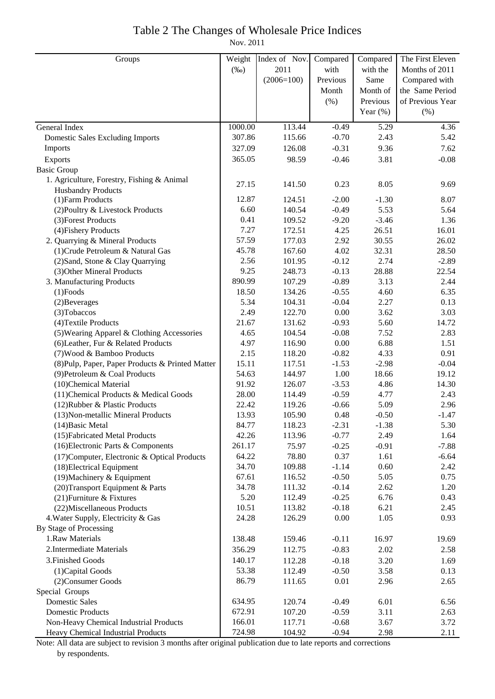### Table 2 The Changes of Wholesale Price Indices

Nov. 2011

| 2011<br>$(\%0)$<br>with<br>with the<br>Months of 2011<br>Previous<br>$(2006=100)$<br>Same<br>Compared with<br>the Same Period<br>Month<br>Month of<br>of Previous Year<br>(% )<br>Previous<br>Year $(\%)$<br>$(\% )$<br>1000.00<br>113.44<br>$-0.49$<br>5.29<br>4.36<br>General Index<br>307.86<br>$-0.70$<br>115.66<br>2.43<br>5.42<br><b>Domestic Sales Excluding Imports</b><br>$-0.31$<br>9.36<br>Imports<br>327.09<br>126.08<br>7.62<br>$-0.46$<br>98.59<br>3.81<br>365.05<br>$-0.08$<br>Exports<br><b>Basic Group</b><br>1. Agriculture, Forestry, Fishing & Animal<br>0.23<br>27.15<br>141.50<br>8.05<br>9.69<br><b>Husbandry Products</b><br>12.87<br>124.51<br>$-2.00$<br>$-1.30$<br>8.07<br>(1) Farm Products<br>6.60<br>140.54<br>$-0.49$<br>5.53<br>(2) Poultry & Livestock Products<br>5.64<br>$-3.46$<br>(3) Forest Products<br>0.41<br>109.52<br>$-9.20$<br>1.36<br>7.27<br>26.51<br>(4) Fishery Products<br>172.51<br>4.25<br>16.01<br>57.59<br>2.92<br>30.55<br>2. Quarrying & Mineral Products<br>177.03<br>26.02<br>45.78<br>4.02<br>(1) Crude Petroleum & Natural Gas<br>167.60<br>32.31<br>28.50<br>2.56<br>$-0.12$<br>2.74<br>(2) Sand, Stone & Clay Quarrying<br>101.95<br>$-2.89$<br>9.25<br>$-0.13$<br>28.88<br>(3) Other Mineral Products<br>248.73<br>22.54<br>890.99<br>$-0.89$<br>3.13<br>3. Manufacturing Products<br>107.29<br>2.44<br>18.50<br>$-0.55$<br>134.26<br>4.60<br>6.35<br>$(1)$ Foods<br>5.34<br>$-0.04$<br>2.27<br>104.31<br>0.13<br>(2) Beverages<br>2.49<br>0.00<br>3.62<br>(3) Tobaccos<br>122.70<br>3.03<br>21.67<br>(4) Textile Products<br>131.62<br>$-0.93$<br>5.60<br>14.72<br>4.65<br>$-0.08$<br>(5) Wearing Apparel & Clothing Accessories<br>104.54<br>7.52<br>2.83<br>4.97<br>0.00<br>6.88<br>(6) Leather, Fur & Related Products<br>116.90<br>1.51<br>4.33<br>2.15<br>118.20<br>$-0.82$<br>0.91<br>(7) Wood & Bamboo Products<br>15.11<br>117.51<br>$-1.53$<br>$-2.98$<br>$-0.04$<br>(8) Pulp, Paper, Paper Products & Printed Matter<br>1.00<br>18.66<br>54.63<br>144.97<br>19.12<br>(9) Petroleum & Coal Products<br>4.86<br>14.30<br>91.92<br>126.07<br>$-3.53$<br>(10)Chemical Material<br>28.00<br>114.49<br>$-0.59$<br>4.77<br>(11) Chemical Products & Medical Goods<br>2.43<br>5.09<br>22.42<br>119.26<br>$-0.66$<br>2.96<br>(12) Rubber & Plastic Products<br>13.93<br>105.90<br>0.48<br>$-0.50$<br>$-1.47$<br>(13) Non-metallic Mineral Products<br>84.77<br>118.23<br>$-2.31$<br>$-1.38$<br>5.30<br>$(14)$ Basic Metal<br>(15) Fabricated Metal Products<br>42.26<br>113.96<br>$-0.77$<br>2.49<br>1.64<br>(16) Electronic Parts & Components<br>$-0.25$<br>$-7.88$<br>261.17<br>75.97<br>$-0.91$<br>0.37<br>(17) Computer, Electronic & Optical Products<br>64.22<br>78.80<br>1.61<br>$-6.64$<br>(18) Electrical Equipment<br>109.88<br>$-1.14$<br>0.60<br>2.42<br>34.70<br>$(19)$ Machinery & Equipment<br>$-0.50$<br>5.05<br>0.75<br>67.61<br>116.52<br>34.78<br>$-0.14$<br>2.62<br>1.20<br>(20) Transport Equipment & Parts<br>111.32<br>(21) Furniture & Fixtures<br>5.20<br>$-0.25$<br>6.76<br>112.49<br>0.43<br>10.51<br>113.82<br>$-0.18$<br>6.21<br>2.45<br>(22) Miscellaneous Products<br>4. Water Supply, Electricity & Gas<br>24.28<br>0.00<br>1.05<br>0.93<br>126.29<br>By Stage of Processing<br>1.Raw Materials<br>138.48<br>$-0.11$<br>19.69<br>159.46<br>16.97<br>2. Intermediate Materials<br>356.29<br>$-0.83$<br>2.02<br>112.75<br>2.58<br>3. Finished Goods<br>$-0.18$<br>140.17<br>112.28<br>3.20<br>1.69<br>$-0.50$<br>53.38<br>3.58<br>(1) Capital Goods<br>112.49<br>0.13<br>0.01<br>2.96<br>(2) Consumer Goods<br>86.79<br>111.65<br>2.65<br>Special Groups<br><b>Domestic Sales</b><br>634.95<br>120.74<br>$-0.49$<br>6.01<br>6.56<br>3.11<br><b>Domestic Products</b><br>672.91<br>$-0.59$<br>107.20<br>2.63<br>Non-Heavy Chemical Industrial Products<br>166.01<br>$-0.68$<br>3.67<br>117.71<br>3.72<br>724.98<br>104.92<br>$-0.94$<br>2.98<br>2.11<br>Heavy Chemical Industrial Products | Groups | Weight | Index of Nov. | Compared | Compared | The First Eleven |
|------------------------------------------------------------------------------------------------------------------------------------------------------------------------------------------------------------------------------------------------------------------------------------------------------------------------------------------------------------------------------------------------------------------------------------------------------------------------------------------------------------------------------------------------------------------------------------------------------------------------------------------------------------------------------------------------------------------------------------------------------------------------------------------------------------------------------------------------------------------------------------------------------------------------------------------------------------------------------------------------------------------------------------------------------------------------------------------------------------------------------------------------------------------------------------------------------------------------------------------------------------------------------------------------------------------------------------------------------------------------------------------------------------------------------------------------------------------------------------------------------------------------------------------------------------------------------------------------------------------------------------------------------------------------------------------------------------------------------------------------------------------------------------------------------------------------------------------------------------------------------------------------------------------------------------------------------------------------------------------------------------------------------------------------------------------------------------------------------------------------------------------------------------------------------------------------------------------------------------------------------------------------------------------------------------------------------------------------------------------------------------------------------------------------------------------------------------------------------------------------------------------------------------------------------------------------------------------------------------------------------------------------------------------------------------------------------------------------------------------------------------------------------------------------------------------------------------------------------------------------------------------------------------------------------------------------------------------------------------------------------------------------------------------------------------------------------------------------------------------------------------------------------------------------------------------------------------------------------------------------------------------------------------------------------------------------------------------------------------------------------------------------------------------------------------------------------------------------------------------------------------------------------------------------------------------------------------------------------------------------------------------------------------------------------------------------------------------------------------------------------------------------------------------------------------------------------------------------------------------------------------------------------------------------------------------------------------------------------------------|--------|--------|---------------|----------|----------|------------------|
|                                                                                                                                                                                                                                                                                                                                                                                                                                                                                                                                                                                                                                                                                                                                                                                                                                                                                                                                                                                                                                                                                                                                                                                                                                                                                                                                                                                                                                                                                                                                                                                                                                                                                                                                                                                                                                                                                                                                                                                                                                                                                                                                                                                                                                                                                                                                                                                                                                                                                                                                                                                                                                                                                                                                                                                                                                                                                                                                                                                                                                                                                                                                                                                                                                                                                                                                                                                                                                                                                                                                                                                                                                                                                                                                                                                                                                                                                                                                                                                          |        |        |               |          |          |                  |
|                                                                                                                                                                                                                                                                                                                                                                                                                                                                                                                                                                                                                                                                                                                                                                                                                                                                                                                                                                                                                                                                                                                                                                                                                                                                                                                                                                                                                                                                                                                                                                                                                                                                                                                                                                                                                                                                                                                                                                                                                                                                                                                                                                                                                                                                                                                                                                                                                                                                                                                                                                                                                                                                                                                                                                                                                                                                                                                                                                                                                                                                                                                                                                                                                                                                                                                                                                                                                                                                                                                                                                                                                                                                                                                                                                                                                                                                                                                                                                                          |        |        |               |          |          |                  |
|                                                                                                                                                                                                                                                                                                                                                                                                                                                                                                                                                                                                                                                                                                                                                                                                                                                                                                                                                                                                                                                                                                                                                                                                                                                                                                                                                                                                                                                                                                                                                                                                                                                                                                                                                                                                                                                                                                                                                                                                                                                                                                                                                                                                                                                                                                                                                                                                                                                                                                                                                                                                                                                                                                                                                                                                                                                                                                                                                                                                                                                                                                                                                                                                                                                                                                                                                                                                                                                                                                                                                                                                                                                                                                                                                                                                                                                                                                                                                                                          |        |        |               |          |          |                  |
|                                                                                                                                                                                                                                                                                                                                                                                                                                                                                                                                                                                                                                                                                                                                                                                                                                                                                                                                                                                                                                                                                                                                                                                                                                                                                                                                                                                                                                                                                                                                                                                                                                                                                                                                                                                                                                                                                                                                                                                                                                                                                                                                                                                                                                                                                                                                                                                                                                                                                                                                                                                                                                                                                                                                                                                                                                                                                                                                                                                                                                                                                                                                                                                                                                                                                                                                                                                                                                                                                                                                                                                                                                                                                                                                                                                                                                                                                                                                                                                          |        |        |               |          |          |                  |
|                                                                                                                                                                                                                                                                                                                                                                                                                                                                                                                                                                                                                                                                                                                                                                                                                                                                                                                                                                                                                                                                                                                                                                                                                                                                                                                                                                                                                                                                                                                                                                                                                                                                                                                                                                                                                                                                                                                                                                                                                                                                                                                                                                                                                                                                                                                                                                                                                                                                                                                                                                                                                                                                                                                                                                                                                                                                                                                                                                                                                                                                                                                                                                                                                                                                                                                                                                                                                                                                                                                                                                                                                                                                                                                                                                                                                                                                                                                                                                                          |        |        |               |          |          |                  |
|                                                                                                                                                                                                                                                                                                                                                                                                                                                                                                                                                                                                                                                                                                                                                                                                                                                                                                                                                                                                                                                                                                                                                                                                                                                                                                                                                                                                                                                                                                                                                                                                                                                                                                                                                                                                                                                                                                                                                                                                                                                                                                                                                                                                                                                                                                                                                                                                                                                                                                                                                                                                                                                                                                                                                                                                                                                                                                                                                                                                                                                                                                                                                                                                                                                                                                                                                                                                                                                                                                                                                                                                                                                                                                                                                                                                                                                                                                                                                                                          |        |        |               |          |          |                  |
|                                                                                                                                                                                                                                                                                                                                                                                                                                                                                                                                                                                                                                                                                                                                                                                                                                                                                                                                                                                                                                                                                                                                                                                                                                                                                                                                                                                                                                                                                                                                                                                                                                                                                                                                                                                                                                                                                                                                                                                                                                                                                                                                                                                                                                                                                                                                                                                                                                                                                                                                                                                                                                                                                                                                                                                                                                                                                                                                                                                                                                                                                                                                                                                                                                                                                                                                                                                                                                                                                                                                                                                                                                                                                                                                                                                                                                                                                                                                                                                          |        |        |               |          |          |                  |
|                                                                                                                                                                                                                                                                                                                                                                                                                                                                                                                                                                                                                                                                                                                                                                                                                                                                                                                                                                                                                                                                                                                                                                                                                                                                                                                                                                                                                                                                                                                                                                                                                                                                                                                                                                                                                                                                                                                                                                                                                                                                                                                                                                                                                                                                                                                                                                                                                                                                                                                                                                                                                                                                                                                                                                                                                                                                                                                                                                                                                                                                                                                                                                                                                                                                                                                                                                                                                                                                                                                                                                                                                                                                                                                                                                                                                                                                                                                                                                                          |        |        |               |          |          |                  |
|                                                                                                                                                                                                                                                                                                                                                                                                                                                                                                                                                                                                                                                                                                                                                                                                                                                                                                                                                                                                                                                                                                                                                                                                                                                                                                                                                                                                                                                                                                                                                                                                                                                                                                                                                                                                                                                                                                                                                                                                                                                                                                                                                                                                                                                                                                                                                                                                                                                                                                                                                                                                                                                                                                                                                                                                                                                                                                                                                                                                                                                                                                                                                                                                                                                                                                                                                                                                                                                                                                                                                                                                                                                                                                                                                                                                                                                                                                                                                                                          |        |        |               |          |          |                  |
|                                                                                                                                                                                                                                                                                                                                                                                                                                                                                                                                                                                                                                                                                                                                                                                                                                                                                                                                                                                                                                                                                                                                                                                                                                                                                                                                                                                                                                                                                                                                                                                                                                                                                                                                                                                                                                                                                                                                                                                                                                                                                                                                                                                                                                                                                                                                                                                                                                                                                                                                                                                                                                                                                                                                                                                                                                                                                                                                                                                                                                                                                                                                                                                                                                                                                                                                                                                                                                                                                                                                                                                                                                                                                                                                                                                                                                                                                                                                                                                          |        |        |               |          |          |                  |
|                                                                                                                                                                                                                                                                                                                                                                                                                                                                                                                                                                                                                                                                                                                                                                                                                                                                                                                                                                                                                                                                                                                                                                                                                                                                                                                                                                                                                                                                                                                                                                                                                                                                                                                                                                                                                                                                                                                                                                                                                                                                                                                                                                                                                                                                                                                                                                                                                                                                                                                                                                                                                                                                                                                                                                                                                                                                                                                                                                                                                                                                                                                                                                                                                                                                                                                                                                                                                                                                                                                                                                                                                                                                                                                                                                                                                                                                                                                                                                                          |        |        |               |          |          |                  |
|                                                                                                                                                                                                                                                                                                                                                                                                                                                                                                                                                                                                                                                                                                                                                                                                                                                                                                                                                                                                                                                                                                                                                                                                                                                                                                                                                                                                                                                                                                                                                                                                                                                                                                                                                                                                                                                                                                                                                                                                                                                                                                                                                                                                                                                                                                                                                                                                                                                                                                                                                                                                                                                                                                                                                                                                                                                                                                                                                                                                                                                                                                                                                                                                                                                                                                                                                                                                                                                                                                                                                                                                                                                                                                                                                                                                                                                                                                                                                                                          |        |        |               |          |          |                  |
|                                                                                                                                                                                                                                                                                                                                                                                                                                                                                                                                                                                                                                                                                                                                                                                                                                                                                                                                                                                                                                                                                                                                                                                                                                                                                                                                                                                                                                                                                                                                                                                                                                                                                                                                                                                                                                                                                                                                                                                                                                                                                                                                                                                                                                                                                                                                                                                                                                                                                                                                                                                                                                                                                                                                                                                                                                                                                                                                                                                                                                                                                                                                                                                                                                                                                                                                                                                                                                                                                                                                                                                                                                                                                                                                                                                                                                                                                                                                                                                          |        |        |               |          |          |                  |
|                                                                                                                                                                                                                                                                                                                                                                                                                                                                                                                                                                                                                                                                                                                                                                                                                                                                                                                                                                                                                                                                                                                                                                                                                                                                                                                                                                                                                                                                                                                                                                                                                                                                                                                                                                                                                                                                                                                                                                                                                                                                                                                                                                                                                                                                                                                                                                                                                                                                                                                                                                                                                                                                                                                                                                                                                                                                                                                                                                                                                                                                                                                                                                                                                                                                                                                                                                                                                                                                                                                                                                                                                                                                                                                                                                                                                                                                                                                                                                                          |        |        |               |          |          |                  |
|                                                                                                                                                                                                                                                                                                                                                                                                                                                                                                                                                                                                                                                                                                                                                                                                                                                                                                                                                                                                                                                                                                                                                                                                                                                                                                                                                                                                                                                                                                                                                                                                                                                                                                                                                                                                                                                                                                                                                                                                                                                                                                                                                                                                                                                                                                                                                                                                                                                                                                                                                                                                                                                                                                                                                                                                                                                                                                                                                                                                                                                                                                                                                                                                                                                                                                                                                                                                                                                                                                                                                                                                                                                                                                                                                                                                                                                                                                                                                                                          |        |        |               |          |          |                  |
|                                                                                                                                                                                                                                                                                                                                                                                                                                                                                                                                                                                                                                                                                                                                                                                                                                                                                                                                                                                                                                                                                                                                                                                                                                                                                                                                                                                                                                                                                                                                                                                                                                                                                                                                                                                                                                                                                                                                                                                                                                                                                                                                                                                                                                                                                                                                                                                                                                                                                                                                                                                                                                                                                                                                                                                                                                                                                                                                                                                                                                                                                                                                                                                                                                                                                                                                                                                                                                                                                                                                                                                                                                                                                                                                                                                                                                                                                                                                                                                          |        |        |               |          |          |                  |
|                                                                                                                                                                                                                                                                                                                                                                                                                                                                                                                                                                                                                                                                                                                                                                                                                                                                                                                                                                                                                                                                                                                                                                                                                                                                                                                                                                                                                                                                                                                                                                                                                                                                                                                                                                                                                                                                                                                                                                                                                                                                                                                                                                                                                                                                                                                                                                                                                                                                                                                                                                                                                                                                                                                                                                                                                                                                                                                                                                                                                                                                                                                                                                                                                                                                                                                                                                                                                                                                                                                                                                                                                                                                                                                                                                                                                                                                                                                                                                                          |        |        |               |          |          |                  |
|                                                                                                                                                                                                                                                                                                                                                                                                                                                                                                                                                                                                                                                                                                                                                                                                                                                                                                                                                                                                                                                                                                                                                                                                                                                                                                                                                                                                                                                                                                                                                                                                                                                                                                                                                                                                                                                                                                                                                                                                                                                                                                                                                                                                                                                                                                                                                                                                                                                                                                                                                                                                                                                                                                                                                                                                                                                                                                                                                                                                                                                                                                                                                                                                                                                                                                                                                                                                                                                                                                                                                                                                                                                                                                                                                                                                                                                                                                                                                                                          |        |        |               |          |          |                  |
|                                                                                                                                                                                                                                                                                                                                                                                                                                                                                                                                                                                                                                                                                                                                                                                                                                                                                                                                                                                                                                                                                                                                                                                                                                                                                                                                                                                                                                                                                                                                                                                                                                                                                                                                                                                                                                                                                                                                                                                                                                                                                                                                                                                                                                                                                                                                                                                                                                                                                                                                                                                                                                                                                                                                                                                                                                                                                                                                                                                                                                                                                                                                                                                                                                                                                                                                                                                                                                                                                                                                                                                                                                                                                                                                                                                                                                                                                                                                                                                          |        |        |               |          |          |                  |
|                                                                                                                                                                                                                                                                                                                                                                                                                                                                                                                                                                                                                                                                                                                                                                                                                                                                                                                                                                                                                                                                                                                                                                                                                                                                                                                                                                                                                                                                                                                                                                                                                                                                                                                                                                                                                                                                                                                                                                                                                                                                                                                                                                                                                                                                                                                                                                                                                                                                                                                                                                                                                                                                                                                                                                                                                                                                                                                                                                                                                                                                                                                                                                                                                                                                                                                                                                                                                                                                                                                                                                                                                                                                                                                                                                                                                                                                                                                                                                                          |        |        |               |          |          |                  |
|                                                                                                                                                                                                                                                                                                                                                                                                                                                                                                                                                                                                                                                                                                                                                                                                                                                                                                                                                                                                                                                                                                                                                                                                                                                                                                                                                                                                                                                                                                                                                                                                                                                                                                                                                                                                                                                                                                                                                                                                                                                                                                                                                                                                                                                                                                                                                                                                                                                                                                                                                                                                                                                                                                                                                                                                                                                                                                                                                                                                                                                                                                                                                                                                                                                                                                                                                                                                                                                                                                                                                                                                                                                                                                                                                                                                                                                                                                                                                                                          |        |        |               |          |          |                  |
|                                                                                                                                                                                                                                                                                                                                                                                                                                                                                                                                                                                                                                                                                                                                                                                                                                                                                                                                                                                                                                                                                                                                                                                                                                                                                                                                                                                                                                                                                                                                                                                                                                                                                                                                                                                                                                                                                                                                                                                                                                                                                                                                                                                                                                                                                                                                                                                                                                                                                                                                                                                                                                                                                                                                                                                                                                                                                                                                                                                                                                                                                                                                                                                                                                                                                                                                                                                                                                                                                                                                                                                                                                                                                                                                                                                                                                                                                                                                                                                          |        |        |               |          |          |                  |
|                                                                                                                                                                                                                                                                                                                                                                                                                                                                                                                                                                                                                                                                                                                                                                                                                                                                                                                                                                                                                                                                                                                                                                                                                                                                                                                                                                                                                                                                                                                                                                                                                                                                                                                                                                                                                                                                                                                                                                                                                                                                                                                                                                                                                                                                                                                                                                                                                                                                                                                                                                                                                                                                                                                                                                                                                                                                                                                                                                                                                                                                                                                                                                                                                                                                                                                                                                                                                                                                                                                                                                                                                                                                                                                                                                                                                                                                                                                                                                                          |        |        |               |          |          |                  |
|                                                                                                                                                                                                                                                                                                                                                                                                                                                                                                                                                                                                                                                                                                                                                                                                                                                                                                                                                                                                                                                                                                                                                                                                                                                                                                                                                                                                                                                                                                                                                                                                                                                                                                                                                                                                                                                                                                                                                                                                                                                                                                                                                                                                                                                                                                                                                                                                                                                                                                                                                                                                                                                                                                                                                                                                                                                                                                                                                                                                                                                                                                                                                                                                                                                                                                                                                                                                                                                                                                                                                                                                                                                                                                                                                                                                                                                                                                                                                                                          |        |        |               |          |          |                  |
|                                                                                                                                                                                                                                                                                                                                                                                                                                                                                                                                                                                                                                                                                                                                                                                                                                                                                                                                                                                                                                                                                                                                                                                                                                                                                                                                                                                                                                                                                                                                                                                                                                                                                                                                                                                                                                                                                                                                                                                                                                                                                                                                                                                                                                                                                                                                                                                                                                                                                                                                                                                                                                                                                                                                                                                                                                                                                                                                                                                                                                                                                                                                                                                                                                                                                                                                                                                                                                                                                                                                                                                                                                                                                                                                                                                                                                                                                                                                                                                          |        |        |               |          |          |                  |
|                                                                                                                                                                                                                                                                                                                                                                                                                                                                                                                                                                                                                                                                                                                                                                                                                                                                                                                                                                                                                                                                                                                                                                                                                                                                                                                                                                                                                                                                                                                                                                                                                                                                                                                                                                                                                                                                                                                                                                                                                                                                                                                                                                                                                                                                                                                                                                                                                                                                                                                                                                                                                                                                                                                                                                                                                                                                                                                                                                                                                                                                                                                                                                                                                                                                                                                                                                                                                                                                                                                                                                                                                                                                                                                                                                                                                                                                                                                                                                                          |        |        |               |          |          |                  |
|                                                                                                                                                                                                                                                                                                                                                                                                                                                                                                                                                                                                                                                                                                                                                                                                                                                                                                                                                                                                                                                                                                                                                                                                                                                                                                                                                                                                                                                                                                                                                                                                                                                                                                                                                                                                                                                                                                                                                                                                                                                                                                                                                                                                                                                                                                                                                                                                                                                                                                                                                                                                                                                                                                                                                                                                                                                                                                                                                                                                                                                                                                                                                                                                                                                                                                                                                                                                                                                                                                                                                                                                                                                                                                                                                                                                                                                                                                                                                                                          |        |        |               |          |          |                  |
|                                                                                                                                                                                                                                                                                                                                                                                                                                                                                                                                                                                                                                                                                                                                                                                                                                                                                                                                                                                                                                                                                                                                                                                                                                                                                                                                                                                                                                                                                                                                                                                                                                                                                                                                                                                                                                                                                                                                                                                                                                                                                                                                                                                                                                                                                                                                                                                                                                                                                                                                                                                                                                                                                                                                                                                                                                                                                                                                                                                                                                                                                                                                                                                                                                                                                                                                                                                                                                                                                                                                                                                                                                                                                                                                                                                                                                                                                                                                                                                          |        |        |               |          |          |                  |
|                                                                                                                                                                                                                                                                                                                                                                                                                                                                                                                                                                                                                                                                                                                                                                                                                                                                                                                                                                                                                                                                                                                                                                                                                                                                                                                                                                                                                                                                                                                                                                                                                                                                                                                                                                                                                                                                                                                                                                                                                                                                                                                                                                                                                                                                                                                                                                                                                                                                                                                                                                                                                                                                                                                                                                                                                                                                                                                                                                                                                                                                                                                                                                                                                                                                                                                                                                                                                                                                                                                                                                                                                                                                                                                                                                                                                                                                                                                                                                                          |        |        |               |          |          |                  |
|                                                                                                                                                                                                                                                                                                                                                                                                                                                                                                                                                                                                                                                                                                                                                                                                                                                                                                                                                                                                                                                                                                                                                                                                                                                                                                                                                                                                                                                                                                                                                                                                                                                                                                                                                                                                                                                                                                                                                                                                                                                                                                                                                                                                                                                                                                                                                                                                                                                                                                                                                                                                                                                                                                                                                                                                                                                                                                                                                                                                                                                                                                                                                                                                                                                                                                                                                                                                                                                                                                                                                                                                                                                                                                                                                                                                                                                                                                                                                                                          |        |        |               |          |          |                  |
|                                                                                                                                                                                                                                                                                                                                                                                                                                                                                                                                                                                                                                                                                                                                                                                                                                                                                                                                                                                                                                                                                                                                                                                                                                                                                                                                                                                                                                                                                                                                                                                                                                                                                                                                                                                                                                                                                                                                                                                                                                                                                                                                                                                                                                                                                                                                                                                                                                                                                                                                                                                                                                                                                                                                                                                                                                                                                                                                                                                                                                                                                                                                                                                                                                                                                                                                                                                                                                                                                                                                                                                                                                                                                                                                                                                                                                                                                                                                                                                          |        |        |               |          |          |                  |
|                                                                                                                                                                                                                                                                                                                                                                                                                                                                                                                                                                                                                                                                                                                                                                                                                                                                                                                                                                                                                                                                                                                                                                                                                                                                                                                                                                                                                                                                                                                                                                                                                                                                                                                                                                                                                                                                                                                                                                                                                                                                                                                                                                                                                                                                                                                                                                                                                                                                                                                                                                                                                                                                                                                                                                                                                                                                                                                                                                                                                                                                                                                                                                                                                                                                                                                                                                                                                                                                                                                                                                                                                                                                                                                                                                                                                                                                                                                                                                                          |        |        |               |          |          |                  |
|                                                                                                                                                                                                                                                                                                                                                                                                                                                                                                                                                                                                                                                                                                                                                                                                                                                                                                                                                                                                                                                                                                                                                                                                                                                                                                                                                                                                                                                                                                                                                                                                                                                                                                                                                                                                                                                                                                                                                                                                                                                                                                                                                                                                                                                                                                                                                                                                                                                                                                                                                                                                                                                                                                                                                                                                                                                                                                                                                                                                                                                                                                                                                                                                                                                                                                                                                                                                                                                                                                                                                                                                                                                                                                                                                                                                                                                                                                                                                                                          |        |        |               |          |          |                  |
|                                                                                                                                                                                                                                                                                                                                                                                                                                                                                                                                                                                                                                                                                                                                                                                                                                                                                                                                                                                                                                                                                                                                                                                                                                                                                                                                                                                                                                                                                                                                                                                                                                                                                                                                                                                                                                                                                                                                                                                                                                                                                                                                                                                                                                                                                                                                                                                                                                                                                                                                                                                                                                                                                                                                                                                                                                                                                                                                                                                                                                                                                                                                                                                                                                                                                                                                                                                                                                                                                                                                                                                                                                                                                                                                                                                                                                                                                                                                                                                          |        |        |               |          |          |                  |
|                                                                                                                                                                                                                                                                                                                                                                                                                                                                                                                                                                                                                                                                                                                                                                                                                                                                                                                                                                                                                                                                                                                                                                                                                                                                                                                                                                                                                                                                                                                                                                                                                                                                                                                                                                                                                                                                                                                                                                                                                                                                                                                                                                                                                                                                                                                                                                                                                                                                                                                                                                                                                                                                                                                                                                                                                                                                                                                                                                                                                                                                                                                                                                                                                                                                                                                                                                                                                                                                                                                                                                                                                                                                                                                                                                                                                                                                                                                                                                                          |        |        |               |          |          |                  |
|                                                                                                                                                                                                                                                                                                                                                                                                                                                                                                                                                                                                                                                                                                                                                                                                                                                                                                                                                                                                                                                                                                                                                                                                                                                                                                                                                                                                                                                                                                                                                                                                                                                                                                                                                                                                                                                                                                                                                                                                                                                                                                                                                                                                                                                                                                                                                                                                                                                                                                                                                                                                                                                                                                                                                                                                                                                                                                                                                                                                                                                                                                                                                                                                                                                                                                                                                                                                                                                                                                                                                                                                                                                                                                                                                                                                                                                                                                                                                                                          |        |        |               |          |          |                  |
|                                                                                                                                                                                                                                                                                                                                                                                                                                                                                                                                                                                                                                                                                                                                                                                                                                                                                                                                                                                                                                                                                                                                                                                                                                                                                                                                                                                                                                                                                                                                                                                                                                                                                                                                                                                                                                                                                                                                                                                                                                                                                                                                                                                                                                                                                                                                                                                                                                                                                                                                                                                                                                                                                                                                                                                                                                                                                                                                                                                                                                                                                                                                                                                                                                                                                                                                                                                                                                                                                                                                                                                                                                                                                                                                                                                                                                                                                                                                                                                          |        |        |               |          |          |                  |
|                                                                                                                                                                                                                                                                                                                                                                                                                                                                                                                                                                                                                                                                                                                                                                                                                                                                                                                                                                                                                                                                                                                                                                                                                                                                                                                                                                                                                                                                                                                                                                                                                                                                                                                                                                                                                                                                                                                                                                                                                                                                                                                                                                                                                                                                                                                                                                                                                                                                                                                                                                                                                                                                                                                                                                                                                                                                                                                                                                                                                                                                                                                                                                                                                                                                                                                                                                                                                                                                                                                                                                                                                                                                                                                                                                                                                                                                                                                                                                                          |        |        |               |          |          |                  |
|                                                                                                                                                                                                                                                                                                                                                                                                                                                                                                                                                                                                                                                                                                                                                                                                                                                                                                                                                                                                                                                                                                                                                                                                                                                                                                                                                                                                                                                                                                                                                                                                                                                                                                                                                                                                                                                                                                                                                                                                                                                                                                                                                                                                                                                                                                                                                                                                                                                                                                                                                                                                                                                                                                                                                                                                                                                                                                                                                                                                                                                                                                                                                                                                                                                                                                                                                                                                                                                                                                                                                                                                                                                                                                                                                                                                                                                                                                                                                                                          |        |        |               |          |          |                  |
|                                                                                                                                                                                                                                                                                                                                                                                                                                                                                                                                                                                                                                                                                                                                                                                                                                                                                                                                                                                                                                                                                                                                                                                                                                                                                                                                                                                                                                                                                                                                                                                                                                                                                                                                                                                                                                                                                                                                                                                                                                                                                                                                                                                                                                                                                                                                                                                                                                                                                                                                                                                                                                                                                                                                                                                                                                                                                                                                                                                                                                                                                                                                                                                                                                                                                                                                                                                                                                                                                                                                                                                                                                                                                                                                                                                                                                                                                                                                                                                          |        |        |               |          |          |                  |
|                                                                                                                                                                                                                                                                                                                                                                                                                                                                                                                                                                                                                                                                                                                                                                                                                                                                                                                                                                                                                                                                                                                                                                                                                                                                                                                                                                                                                                                                                                                                                                                                                                                                                                                                                                                                                                                                                                                                                                                                                                                                                                                                                                                                                                                                                                                                                                                                                                                                                                                                                                                                                                                                                                                                                                                                                                                                                                                                                                                                                                                                                                                                                                                                                                                                                                                                                                                                                                                                                                                                                                                                                                                                                                                                                                                                                                                                                                                                                                                          |        |        |               |          |          |                  |
|                                                                                                                                                                                                                                                                                                                                                                                                                                                                                                                                                                                                                                                                                                                                                                                                                                                                                                                                                                                                                                                                                                                                                                                                                                                                                                                                                                                                                                                                                                                                                                                                                                                                                                                                                                                                                                                                                                                                                                                                                                                                                                                                                                                                                                                                                                                                                                                                                                                                                                                                                                                                                                                                                                                                                                                                                                                                                                                                                                                                                                                                                                                                                                                                                                                                                                                                                                                                                                                                                                                                                                                                                                                                                                                                                                                                                                                                                                                                                                                          |        |        |               |          |          |                  |
|                                                                                                                                                                                                                                                                                                                                                                                                                                                                                                                                                                                                                                                                                                                                                                                                                                                                                                                                                                                                                                                                                                                                                                                                                                                                                                                                                                                                                                                                                                                                                                                                                                                                                                                                                                                                                                                                                                                                                                                                                                                                                                                                                                                                                                                                                                                                                                                                                                                                                                                                                                                                                                                                                                                                                                                                                                                                                                                                                                                                                                                                                                                                                                                                                                                                                                                                                                                                                                                                                                                                                                                                                                                                                                                                                                                                                                                                                                                                                                                          |        |        |               |          |          |                  |
|                                                                                                                                                                                                                                                                                                                                                                                                                                                                                                                                                                                                                                                                                                                                                                                                                                                                                                                                                                                                                                                                                                                                                                                                                                                                                                                                                                                                                                                                                                                                                                                                                                                                                                                                                                                                                                                                                                                                                                                                                                                                                                                                                                                                                                                                                                                                                                                                                                                                                                                                                                                                                                                                                                                                                                                                                                                                                                                                                                                                                                                                                                                                                                                                                                                                                                                                                                                                                                                                                                                                                                                                                                                                                                                                                                                                                                                                                                                                                                                          |        |        |               |          |          |                  |
|                                                                                                                                                                                                                                                                                                                                                                                                                                                                                                                                                                                                                                                                                                                                                                                                                                                                                                                                                                                                                                                                                                                                                                                                                                                                                                                                                                                                                                                                                                                                                                                                                                                                                                                                                                                                                                                                                                                                                                                                                                                                                                                                                                                                                                                                                                                                                                                                                                                                                                                                                                                                                                                                                                                                                                                                                                                                                                                                                                                                                                                                                                                                                                                                                                                                                                                                                                                                                                                                                                                                                                                                                                                                                                                                                                                                                                                                                                                                                                                          |        |        |               |          |          |                  |
|                                                                                                                                                                                                                                                                                                                                                                                                                                                                                                                                                                                                                                                                                                                                                                                                                                                                                                                                                                                                                                                                                                                                                                                                                                                                                                                                                                                                                                                                                                                                                                                                                                                                                                                                                                                                                                                                                                                                                                                                                                                                                                                                                                                                                                                                                                                                                                                                                                                                                                                                                                                                                                                                                                                                                                                                                                                                                                                                                                                                                                                                                                                                                                                                                                                                                                                                                                                                                                                                                                                                                                                                                                                                                                                                                                                                                                                                                                                                                                                          |        |        |               |          |          |                  |
|                                                                                                                                                                                                                                                                                                                                                                                                                                                                                                                                                                                                                                                                                                                                                                                                                                                                                                                                                                                                                                                                                                                                                                                                                                                                                                                                                                                                                                                                                                                                                                                                                                                                                                                                                                                                                                                                                                                                                                                                                                                                                                                                                                                                                                                                                                                                                                                                                                                                                                                                                                                                                                                                                                                                                                                                                                                                                                                                                                                                                                                                                                                                                                                                                                                                                                                                                                                                                                                                                                                                                                                                                                                                                                                                                                                                                                                                                                                                                                                          |        |        |               |          |          |                  |
|                                                                                                                                                                                                                                                                                                                                                                                                                                                                                                                                                                                                                                                                                                                                                                                                                                                                                                                                                                                                                                                                                                                                                                                                                                                                                                                                                                                                                                                                                                                                                                                                                                                                                                                                                                                                                                                                                                                                                                                                                                                                                                                                                                                                                                                                                                                                                                                                                                                                                                                                                                                                                                                                                                                                                                                                                                                                                                                                                                                                                                                                                                                                                                                                                                                                                                                                                                                                                                                                                                                                                                                                                                                                                                                                                                                                                                                                                                                                                                                          |        |        |               |          |          |                  |
|                                                                                                                                                                                                                                                                                                                                                                                                                                                                                                                                                                                                                                                                                                                                                                                                                                                                                                                                                                                                                                                                                                                                                                                                                                                                                                                                                                                                                                                                                                                                                                                                                                                                                                                                                                                                                                                                                                                                                                                                                                                                                                                                                                                                                                                                                                                                                                                                                                                                                                                                                                                                                                                                                                                                                                                                                                                                                                                                                                                                                                                                                                                                                                                                                                                                                                                                                                                                                                                                                                                                                                                                                                                                                                                                                                                                                                                                                                                                                                                          |        |        |               |          |          |                  |
|                                                                                                                                                                                                                                                                                                                                                                                                                                                                                                                                                                                                                                                                                                                                                                                                                                                                                                                                                                                                                                                                                                                                                                                                                                                                                                                                                                                                                                                                                                                                                                                                                                                                                                                                                                                                                                                                                                                                                                                                                                                                                                                                                                                                                                                                                                                                                                                                                                                                                                                                                                                                                                                                                                                                                                                                                                                                                                                                                                                                                                                                                                                                                                                                                                                                                                                                                                                                                                                                                                                                                                                                                                                                                                                                                                                                                                                                                                                                                                                          |        |        |               |          |          |                  |
|                                                                                                                                                                                                                                                                                                                                                                                                                                                                                                                                                                                                                                                                                                                                                                                                                                                                                                                                                                                                                                                                                                                                                                                                                                                                                                                                                                                                                                                                                                                                                                                                                                                                                                                                                                                                                                                                                                                                                                                                                                                                                                                                                                                                                                                                                                                                                                                                                                                                                                                                                                                                                                                                                                                                                                                                                                                                                                                                                                                                                                                                                                                                                                                                                                                                                                                                                                                                                                                                                                                                                                                                                                                                                                                                                                                                                                                                                                                                                                                          |        |        |               |          |          |                  |
|                                                                                                                                                                                                                                                                                                                                                                                                                                                                                                                                                                                                                                                                                                                                                                                                                                                                                                                                                                                                                                                                                                                                                                                                                                                                                                                                                                                                                                                                                                                                                                                                                                                                                                                                                                                                                                                                                                                                                                                                                                                                                                                                                                                                                                                                                                                                                                                                                                                                                                                                                                                                                                                                                                                                                                                                                                                                                                                                                                                                                                                                                                                                                                                                                                                                                                                                                                                                                                                                                                                                                                                                                                                                                                                                                                                                                                                                                                                                                                                          |        |        |               |          |          |                  |
|                                                                                                                                                                                                                                                                                                                                                                                                                                                                                                                                                                                                                                                                                                                                                                                                                                                                                                                                                                                                                                                                                                                                                                                                                                                                                                                                                                                                                                                                                                                                                                                                                                                                                                                                                                                                                                                                                                                                                                                                                                                                                                                                                                                                                                                                                                                                                                                                                                                                                                                                                                                                                                                                                                                                                                                                                                                                                                                                                                                                                                                                                                                                                                                                                                                                                                                                                                                                                                                                                                                                                                                                                                                                                                                                                                                                                                                                                                                                                                                          |        |        |               |          |          |                  |
|                                                                                                                                                                                                                                                                                                                                                                                                                                                                                                                                                                                                                                                                                                                                                                                                                                                                                                                                                                                                                                                                                                                                                                                                                                                                                                                                                                                                                                                                                                                                                                                                                                                                                                                                                                                                                                                                                                                                                                                                                                                                                                                                                                                                                                                                                                                                                                                                                                                                                                                                                                                                                                                                                                                                                                                                                                                                                                                                                                                                                                                                                                                                                                                                                                                                                                                                                                                                                                                                                                                                                                                                                                                                                                                                                                                                                                                                                                                                                                                          |        |        |               |          |          |                  |

Note: All data are subject to revision 3 months after original publication due to late reports and corrections by respondents.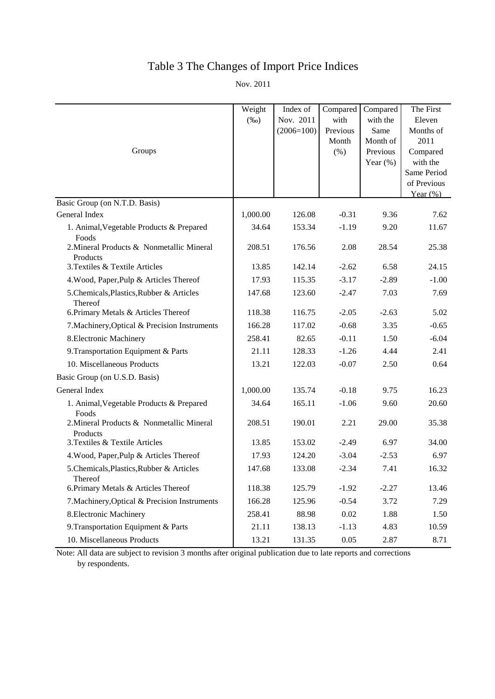# Table 3 The Changes of Import Price Indices

Nov. 2011

|                                                       | Weight   | Index of     | Compared      | Compared             | The First         |
|-------------------------------------------------------|----------|--------------|---------------|----------------------|-------------------|
|                                                       | $(\%0)$  | Nov. 2011    | with          | with the             | Eleven            |
|                                                       |          | $(2006=100)$ | Previous      | Same                 | Months of<br>2011 |
| Groups                                                |          |              | Month<br>(% ) | Month of<br>Previous | Compared          |
|                                                       |          |              |               | Year $(\%)$          | with the          |
|                                                       |          |              |               |                      | Same Period       |
|                                                       |          |              |               |                      | of Previous       |
|                                                       |          |              |               |                      | Year $(\%)$       |
| Basic Group (on N.T.D. Basis)                         |          |              |               |                      |                   |
| General Index                                         | 1,000.00 | 126.08       | $-0.31$       | 9.36                 | 7.62              |
| 1. Animal, Vegetable Products & Prepared<br>Foods     | 34.64    | 153.34       | $-1.19$       | 9.20                 | 11.67             |
| 2. Mineral Products & Nonmetallic Mineral<br>Products | 208.51   | 176.56       | 2.08          | 28.54                | 25.38             |
| 3. Textiles & Textile Articles                        | 13.85    | 142.14       | $-2.62$       | 6.58                 | 24.15             |
| 4. Wood, Paper, Pulp & Articles Thereof               | 17.93    | 115.35       | $-3.17$       | $-2.89$              | $-1.00$           |
| 5.Chemicals, Plastics, Rubber & Articles<br>Thereof   | 147.68   | 123.60       | $-2.47$       | 7.03                 | 7.69              |
| 6. Primary Metals & Articles Thereof                  | 118.38   | 116.75       | $-2.05$       | $-2.63$              | 5.02              |
| 7. Machinery, Optical & Precision Instruments         | 166.28   | 117.02       | $-0.68$       | 3.35                 | $-0.65$           |
| 8. Electronic Machinery                               | 258.41   | 82.65        | $-0.11$       | 1.50                 | $-6.04$           |
| 9. Transportation Equipment & Parts                   | 21.11    | 128.33       | $-1.26$       | 4.44                 | 2.41              |
| 10. Miscellaneous Products                            | 13.21    | 122.03       | $-0.07$       | 2.50                 | 0.64              |
| Basic Group (on U.S.D. Basis)                         |          |              |               |                      |                   |
| General Index                                         | 1,000.00 | 135.74       | $-0.18$       | 9.75                 | 16.23             |
| 1. Animal, Vegetable Products & Prepared<br>Foods     | 34.64    | 165.11       | $-1.06$       | 9.60                 | 20.60             |
| 2. Mineral Products & Nonmetallic Mineral<br>Products | 208.51   | 190.01       | 2.21          | 29.00                | 35.38             |
| 3. Textiles & Textile Articles                        | 13.85    | 153.02       | $-2.49$       | 6.97                 | 34.00             |
| 4. Wood, Paper, Pulp & Articles Thereof               | 17.93    | 124.20       | $-3.04$       | $-2.53$              | 6.97              |
| 5. Chemicals, Plastics, Rubber & Articles<br>Thereof  | 147.68   | 133.08       | $-2.34$       | 7.41                 | 16.32             |
| 6. Primary Metals & Articles Thereof                  | 118.38   | 125.79       | $-1.92$       | $-2.27$              | 13.46             |
| 7. Machinery, Optical & Precision Instruments         | 166.28   | 125.96       | $-0.54$       | 3.72                 | 7.29              |
| 8. Electronic Machinery                               | 258.41   | 88.98        | 0.02          | 1.88                 | 1.50              |
| 9. Transportation Equipment & Parts                   | 21.11    | 138.13       | $-1.13$       | 4.83                 | 10.59             |
| 10. Miscellaneous Products                            | 13.21    | 131.35       | 0.05          | 2.87                 | 8.71              |

Note: All data are subject to revision 3 months after original publication due to late reports and corrections by respondents.